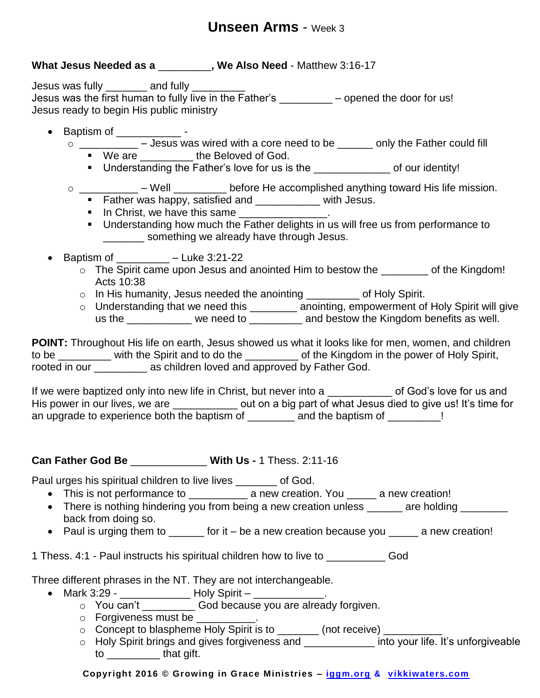# **Unseen Arms** - Week 3

## **What Jesus Needed as a** \_\_\_\_\_\_\_\_\_**, We Also Need** - Matthew 3:16-17

Jesus was fully \_\_\_\_\_\_\_\_ and fully \_\_\_\_\_ Jesus was the first human to fully live in the Father's \_\_\_\_\_\_\_\_ – opened the door for us! Jesus ready to begin His public ministry

- $\bullet$  Baptism of  $\_\_$ 
	- o \_\_\_\_\_\_\_\_\_\_ Jesus was wired with a core need to be \_\_\_\_\_\_ only the Father could fill ■ We are the Beloved of God.
		- Understanding the Father's love for us is the \_\_\_\_\_\_\_\_\_\_\_\_\_\_\_ of our identity!
	- $\circ$  \_\_\_\_\_\_\_\_\_\_\_ Well \_\_\_\_\_\_\_\_\_ before He accomplished anything toward His life mission.
		- Father was happy, satisfied and \_\_\_\_\_\_\_\_\_\_\_ with Jesus.
		- In Christ, we have this same
		- **Understanding how much the Father delights in us will free us from performance to** \_\_\_\_\_\_\_\_\_ something we already have through Jesus.
	- Baptism of  $-$  Luke 3:21-22
		- o The Spirit came upon Jesus and anointed Him to bestow the \_\_\_\_\_\_\_ of the Kingdom! Acts 10:38
		- o In His humanity, Jesus needed the anointing \_\_\_\_\_\_\_\_\_ of Holy Spirit.
		- o Understanding that we need this \_\_\_\_\_\_\_\_\_ anointing, empowerment of Holy Spirit will give us the \_\_\_\_\_\_\_\_\_\_ we need to \_\_\_\_\_\_\_\_ and bestow the Kingdom benefits as well.

**POINT:** Throughout His life on earth, Jesus showed us what it looks like for men, women, and children to be with the Spirit and to do the the Kingdom in the power of Holy Spirit, rooted in our \_\_\_\_\_\_\_\_\_\_ as children loved and approved by Father God.

If we were baptized only into new life in Christ, but never into a same same of God's love for us and His power in our lives, we are \_\_\_\_\_\_\_\_\_\_\_\_\_ out on a big part of what Jesus died to give us! It's time for an upgrade to experience both the baptism of \_\_\_\_\_\_\_\_ and the baptism of \_\_\_\_\_\_\_!

#### **Can Father God Be** \_\_\_\_\_\_\_\_\_\_\_\_\_ **With Us -** 1 Thess. 2:11-16

Paul urges his spiritual children to live lives \_\_\_\_\_\_\_ of God.

- This is not performance to \_\_\_\_\_\_\_\_\_\_\_\_ a new creation. You \_\_\_\_\_ a new creation!
- There is nothing hindering you from being a new creation unless \_\_\_\_\_\_ are holding \_\_\_\_\_\_\_ back from doing so.
- Paul is urging them to \_\_\_\_\_\_ for it be a new creation because you \_\_\_\_\_ a new creation!

1 Thess. 4:1 - Paul instructs his spiritual children how to live to \_\_\_\_\_\_\_\_\_\_ God

Three different phrases in the NT. They are not interchangeable.

- Mark 3:29 \_\_\_\_\_\_\_\_\_\_\_\_\_\_\_\_\_ Holy Spirit \_\_\_\_\_\_\_\_\_\_\_\_\_\_.
	- o You can't \_\_\_\_\_\_\_\_\_ God because you are already forgiven.
	- $\circ$  Forgiveness must be  $\qquad \qquad$ .
	- o Concept to blaspheme Holy Spirit is to \_\_\_\_\_\_\_ (not receive) \_\_\_\_\_\_\_
	- o Holy Spirit brings and gives forgiveness and \_\_\_\_\_\_\_\_\_\_\_\_\_\_\_ into your life. It's unforgiveable to \_\_\_\_\_\_\_\_\_ that gift.

**Copyright 2016 © Growing in Grace Ministries – iggm.org & vikkiwaters.com**